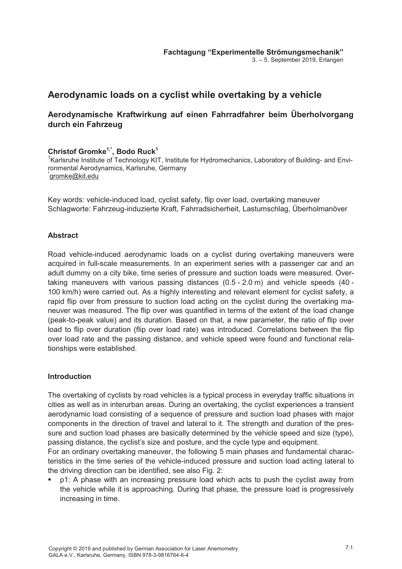3. – 5. September 2019, Erlangen

# **Aerodynamic loads on a cyclist while overtaking by a vehicle**

# **Aerodynamische Kraftwirkung auf einen Fahrradfahrer beim Überholvorgang durch ein Fahrzeug**

## **Christof Gromke1,\*, Bodo Ruck1**

<sup>1</sup>Karlsruhe Institute of Technology KIT, Institute for Hydromechanics, Laboratory of Building- and Environmental Aerodynamics, Karlsruhe, Germany \* gromke@kit.edu

Key words: vehicle-induced load, cyclist safety, flip over load, overtaking maneuver Schlagworte: Fahrzeug-induzierte Kraft, Fahrradsicherheit, Lastumschlag, Überholmanöver

### **Abstract**

Road vehicle-induced aerodynamic loads on a cyclist during overtaking maneuvers were acquired in full-scale measurements. In an experiment series with a passenger car and an adult dummy on a city bike, time series of pressure and suction loads were measured. Overtaking maneuvers with various passing distances (0.5 - 2.0 m) and vehicle speeds (40 - 100 km/h) were carried out. As a highly interesting and relevant element for cyclist safety, a rapid flip over from pressure to suction load acting on the cyclist during the overtaking maneuver was measured. The flip over was quantified in terms of the extent of the load change (peak-to-peak value) and its duration. Based on that, a new parameter, the ratio of flip over load to flip over duration (flip over load rate) was introduced. Correlations between the flip over load rate and the passing distance, and vehicle speed were found and functional relationships were established.

#### **Introduction**

The overtaking of cyclists by road vehicles is a typical process in everyday traffic situations in cities as well as in interurban areas. During an overtaking, the cyclist experiences a transient aerodynamic load consisting of a sequence of pressure and suction load phases with major components in the direction of travel and lateral to it. The strength and duration of the pressure and suction load phases are basically determined by the vehicle speed and size (type), passing distance, the cyclist's size and posture, and the cycle type and equipment.

For an ordinary overtaking maneuver, the following 5 main phases and fundamental characteristics in the time series of the vehicle-induced pressure and suction load acting lateral to the driving direction can be identified, see also Fig. 2:

 p1: A phase with an increasing pressure load which acts to push the cyclist away from the vehicle while it is approaching. During that phase, the pressure load is progressively increasing in time.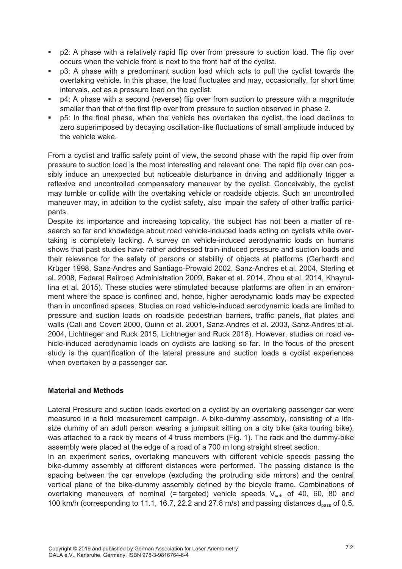- p2: A phase with a relatively rapid flip over from pressure to suction load. The flip over occurs when the vehicle front is next to the front half of the cyclist.
- p3: A phase with a predominant suction load which acts to pull the cyclist towards the overtaking vehicle. In this phase, the load fluctuates and may, occasionally, for short time intervals, act as a pressure load on the cyclist.
- p4: A phase with a second (reverse) flip over from suction to pressure with a magnitude smaller than that of the first flip over from pressure to suction observed in phase 2.
- p5: In the final phase, when the vehicle has overtaken the cyclist, the load declines to zero superimposed by decaying oscillation-like fluctuations of small amplitude induced by the vehicle wake.

From a cyclist and traffic safety point of view, the second phase with the rapid flip over from pressure to suction load is the most interesting and relevant one. The rapid flip over can possibly induce an unexpected but noticeable disturbance in driving and additionally trigger a reflexive and uncontrolled compensatory maneuver by the cyclist. Conceivably, the cyclist may tumble or collide with the overtaking vehicle or roadside objects. Such an uncontrolled maneuver may, in addition to the cyclist safety, also impair the safety of other traffic participants.

Despite its importance and increasing topicality, the subject has not been a matter of research so far and knowledge about road vehicle-induced loads acting on cyclists while overtaking is completely lacking. A survey on vehicle-induced aerodynamic loads on humans shows that past studies have rather addressed train-induced pressure and suction loads and their relevance for the safety of persons or stability of objects at platforms (Gerhardt and Krüger 1998, Sanz-Andres and Santiago-Prowald 2002, Sanz-Andres et al. 2004, Sterling et al. 2008, Federal Railroad Administration 2009, Baker et al. 2014, Zhou et al. 2014, Khayrullina et al. 2015). These studies were stimulated because platforms are often in an environment where the space is confined and, hence, higher aerodynamic loads may be expected than in unconfined spaces. Studies on road vehicle-induced aerodynamic loads are limited to pressure and suction loads on roadside pedestrian barriers, traffic panels, flat plates and walls (Cali and Covert 2000, Quinn et al. 2001, Sanz-Andres et al. 2003, Sanz-Andres et al. 2004, Lichtneger and Ruck 2015, Lichtneger and Ruck 2018). However, studies on road vehicle-induced aerodynamic loads on cyclists are lacking so far. In the focus of the present study is the quantification of the lateral pressure and suction loads a cyclist experiences when overtaken by a passenger car.

#### **Material and Methods**

Lateral Pressure and suction loads exerted on a cyclist by an overtaking passenger car were measured in a field measurement campaign. A bike-dummy assembly, consisting of a lifesize dummy of an adult person wearing a jumpsuit sitting on a city bike (aka touring bike), was attached to a rack by means of 4 truss members (Fig. 1). The rack and the dummy-bike assembly were placed at the edge of a road of a 700 m long straight street section.

In an experiment series, overtaking maneuvers with different vehicle speeds passing the bike-dummy assembly at different distances were performed. The passing distance is the spacing between the car envelope (excluding the protruding side mirrors) and the central vertical plane of the bike-dummy assembly defined by the bicycle frame. Combinations of overtaking maneuvers of nominal (= targeted) vehicle speeds  $V_{veh}$  of 40, 60, 80 and 100 km/h (corresponding to 11.1, 16.7, 22.2 and 27.8 m/s) and passing distances  $d_{\text{pass}}$  of 0.5,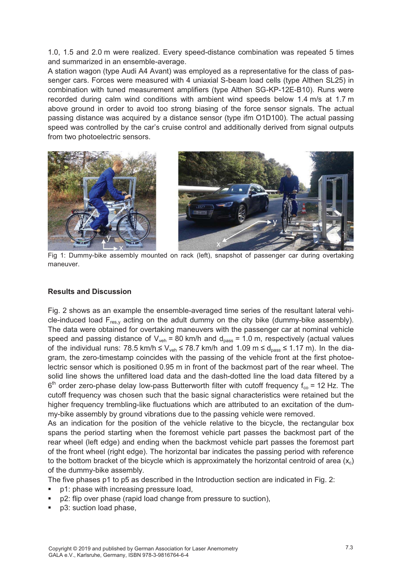1.0, 1.5 and 2.0 m were realized. Every speed-distance combination was repeated 5 times and summarized in an ensemble-average.

A station wagon (type Audi A4 Avant) was employed as a representative for the class of passenger cars. Forces were measured with 4 uniaxial S-beam load cells (type Althen SL25) in combination with tuned measurement amplifiers (type Althen SG-KP-12E-B10). Runs were recorded during calm wind conditions with ambient wind speeds below 1.4 m/s at 1.7 m above ground in order to avoid too strong biasing of the force sensor signals. The actual passing distance was acquired by a distance sensor (type ifm O1D100). The actual passing speed was controlled by the car's cruise control and additionally derived from signal outputs from two photoelectric sensors.



Fig 1: Dummy-bike assembly mounted on rack (left), snapshot of passenger car during overtaking maneuver.

#### **Results and Discussion**

Fig. 2 shows as an example the ensemble-averaged time series of the resultant lateral vehicle-induced load  $F_{res,y}$  acting on the adult dummy on the city bike (dummy-bike assembly). The data were obtained for overtaking maneuvers with the passenger car at nominal vehicle speed and passing distance of  $V_{veh}$  = 80 km/h and  $d_{pass}$  = 1.0 m, respectively (actual values of the individual runs: 78.5 km/h  $\leq$  V<sub>veh</sub>  $\leq$  78.7 km/h and 1.09 m  $\leq$  d<sub>pass</sub>  $\leq$  1.17 m). In the diagram, the zero-timestamp coincides with the passing of the vehicle front at the first photoelectric sensor which is positioned 0.95 m in front of the backmost part of the rear wheel. The solid line shows the unfiltered load data and the dash-dotted line the load data filtered by a  $6<sup>th</sup>$  order zero-phase delay low-pass Butterworth filter with cutoff frequency f<sub>co</sub> = 12 Hz. The cutoff frequency was chosen such that the basic signal characteristics were retained but the higher frequency trembling-like fluctuations which are attributed to an excitation of the dummy-bike assembly by ground vibrations due to the passing vehicle were removed.

As an indication for the position of the vehicle relative to the bicycle, the rectangular box spans the period starting when the foremost vehicle part passes the backmost part of the rear wheel (left edge) and ending when the backmost vehicle part passes the foremost part of the front wheel (right edge). The horizontal bar indicates the passing period with reference to the bottom bracket of the bicycle which is approximately the horizontal centroid of area  $(x_c)$ of the dummy-bike assembly.

The five phases p1 to p5 as described in the Introduction section are indicated in Fig. 2:

- p1: phase with increasing pressure load,
- p2: flip over phase (rapid load change from pressure to suction),
- p3: suction load phase,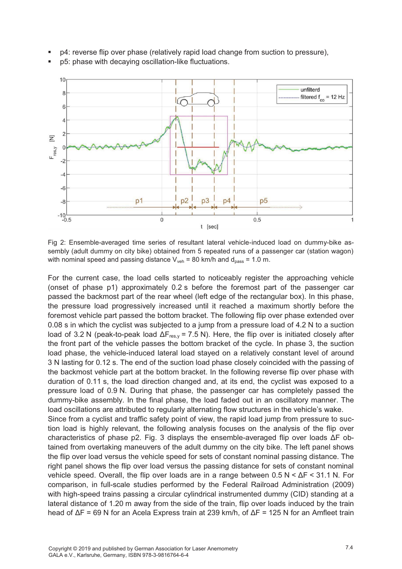

 p4: reverse flip over phase (relatively rapid load change from suction to pressure), p5: phase with decaying oscillation-like fluctuations.

Fig 2: Ensemble-averaged time series of resultant lateral vehicle-induced load on dummy-bike assembly (adult dummy on city bike) obtained from 5 repeated runs of a passenger car (station wagon) with nominal speed and passing distance  $V_{veh}$  = 80 km/h and  $d_{pass}$  = 1.0 m.

For the current case, the load cells started to noticeably register the approaching vehicle (onset of phase p1) approximately 0.2 s before the foremost part of the passenger car passed the backmost part of the rear wheel (left edge of the rectangular box). In this phase, the pressure load progressively increased until it reached a maximum shortly before the foremost vehicle part passed the bottom bracket. The following flip over phase extended over 0.08 s in which the cyclist was subjected to a jump from a pressure load of 4.2 N to a suction load of 3.2 N (peak-to-peak load  $\Delta F_{res,y}$  = 7.5 N). Here, the flip over is initiated closely after the front part of the vehicle passes the bottom bracket of the cycle. In phase 3, the suction load phase, the vehicle-induced lateral load stayed on a relatively constant level of around 3 N lasting for 0.12 s. The end of the suction load phase closely coincided with the passing of the backmost vehicle part at the bottom bracket. In the following reverse flip over phase with duration of 0.11 s, the load direction changed and, at its end, the cyclist was exposed to a pressure load of 0.9 N. During that phase, the passenger car has completely passed the dummy-bike assembly. In the final phase, the load faded out in an oscillatory manner. The load oscillations are attributed to regularly alternating flow structures in the vehicle's wake. Since from a cyclist and traffic safety point of view, the rapid load jump from pressure to suction load is highly relevant, the following analysis focuses on the analysis of the flip over characteristics of phase p2. Fig. 3 displays the ensemble-averaged flip over loads ΔF obtained from overtaking maneuvers of the adult dummy on the city bike. The left panel shows the flip over load versus the vehicle speed for sets of constant nominal passing distance. The right panel shows the flip over load versus the passing distance for sets of constant nominal vehicle speed. Overall, the flip over loads are in a range between  $0.5 N < \Delta F < 31.1 N$ . For comparison, in full-scale studies performed by the Federal Railroad Administration (2009) with high-speed trains passing a circular cylindrical instrumented dummy (CID) standing at a lateral distance of 1.20 m away from the side of the train, flip over loads induced by the train head of ΔF = 69 N for an Acela Express train at 239 km/h, of ΔF = 125 N for an Amfleet train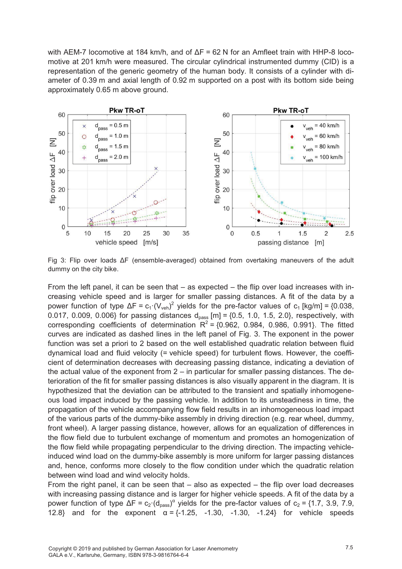with AEM-7 locomotive at 184 km/h, and of ΔF = 62 N for an Amfleet train with HHP-8 locomotive at 201 km/h were measured. The circular cylindrical instrumented dummy (CID) is a representation of the generic geometry of the human body. It consists of a cylinder with diameter of 0.39 m and axial length of 0.92 m supported on a post with its bottom side being approximately 0.65 m above ground.



Fig 3: Flip over loads ΔF (ensemble-averaged) obtained from overtaking maneuvers of the adult dummy on the city bike.

From the left panel, it can be seen that – as expected – the flip over load increases with increasing vehicle speed and is larger for smaller passing distances. A fit of the data by a power function of type  $\Delta F = c_1 \cdot (V_{veh})^2$  yields for the pre-factor values of c<sub>1</sub> [kg/m] = {0.038, 0.017, 0.009, 0.006} for passing distances  $d_{pass}$  [m] = {0.5, 1.0, 1.5, 2.0}, respectively, with corresponding coefficients of determination  $R^2 = \{0.962, 0.984, 0.986, 0.991\}$ . The fitted curves are indicated as dashed lines in the left panel of Fig. 3. The exponent in the power function was set a priori to 2 based on the well established quadratic relation between fluid dynamical load and fluid velocity (= vehicle speed) for turbulent flows. However, the coefficient of determination decreases with decreasing passing distance, indicating a deviation of the actual value of the exponent from  $2 -$  in particular for smaller passing distances. The deterioration of the fit for smaller passing distances is also visually apparent in the diagram. It is hypothesized that the deviation can be attributed to the transient and spatially inhomogeneous load impact induced by the passing vehicle. In addition to its unsteadiness in time, the propagation of the vehicle accompanying flow field results in an inhomogeneous load impact of the various parts of the dummy-bike assembly in driving direction (e.g. rear wheel, dummy, front wheel). A larger passing distance, however, allows for an equalization of differences in the flow field due to turbulent exchange of momentum and promotes an homogenization of the flow field while propagating perpendicular to the driving direction. The impacting vehicleinduced wind load on the dummy-bike assembly is more uniform for larger passing distances and, hence, conforms more closely to the flow condition under which the quadratic relation between wind load and wind velocity holds.

From the right panel, it can be seen that – also as expected – the flip over load decreases with increasing passing distance and is larger for higher vehicle speeds. A fit of the data by a power function of type  $\Delta F = c_2 \cdot (d_{pass})^\alpha$  yields for the pre-factor values of  $c_2 = \{1.7, 3.9, 7.9,$ 12.8} and for the exponent  $\alpha = \{-1.25, -1.30, -1.30, -1.24\}$  for vehicle speeds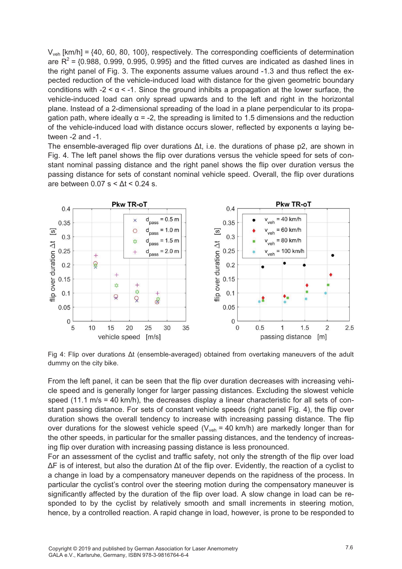$V_{veh}$  [km/h] = {40, 60, 80, 100}, respectively. The corresponding coefficients of determination are  $R^2$  = {0.988, 0.999, 0.995, 0.995} and the fitted curves are indicated as dashed lines in the right panel of Fig. 3. The exponents assume values around -1.3 and thus reflect the expected reduction of the vehicle-induced load with distance for the given geometric boundary conditions with -2 < α < -1. Since the ground inhibits a propagation at the lower surface, the vehicle-induced load can only spread upwards and to the left and right in the horizontal plane. Instead of a 2-dimensional spreading of the load in a plane perpendicular to its propagation path, where ideally  $\alpha = -2$ , the spreading is limited to 1.5 dimensions and the reduction of the vehicle-induced load with distance occurs slower, reflected by exponents α laying between -2 and -1.

The ensemble-averaged flip over durations  $\Delta t$ , i.e. the durations of phase p2, are shown in Fig. 4. The left panel shows the flip over durations versus the vehicle speed for sets of constant nominal passing distance and the right panel shows the flip over duration versus the passing distance for sets of constant nominal vehicle speed. Overall, the flip over durations are between  $0.07$  s <  $\Delta t$  <  $0.24$  s.



Fig 4: Flip over durations Δt (ensemble-averaged) obtained from overtaking maneuvers of the adult dummy on the city bike.

From the left panel, it can be seen that the flip over duration decreases with increasing vehicle speed and is generally longer for larger passing distances. Excluding the slowest vehicle speed (11.1 m/s = 40 km/h), the decreases display a linear characteristic for all sets of constant passing distance. For sets of constant vehicle speeds (right panel Fig. 4), the flip over duration shows the overall tendency to increase with increasing passing distance. The flip over durations for the slowest vehicle speed ( $V_{veh}$  = 40 km/h) are markedly longer than for the other speeds, in particular for the smaller passing distances, and the tendency of increasing flip over duration with increasing passing distance is less pronounced.

For an assessment of the cyclist and traffic safety, not only the strength of the flip over load ΔF is of interest, but also the duration Δt of the flip over. Evidently, the reaction of a cyclist to a change in load by a compensatory maneuver depends on the rapidness of the process. In particular the cyclist's control over the steering motion during the compensatory maneuver is significantly affected by the duration of the flip over load. A slow change in load can be responded to by the cyclist by relatively smooth and small increments in steering motion, hence, by a controlled reaction. A rapid change in load, however, is prone to be responded to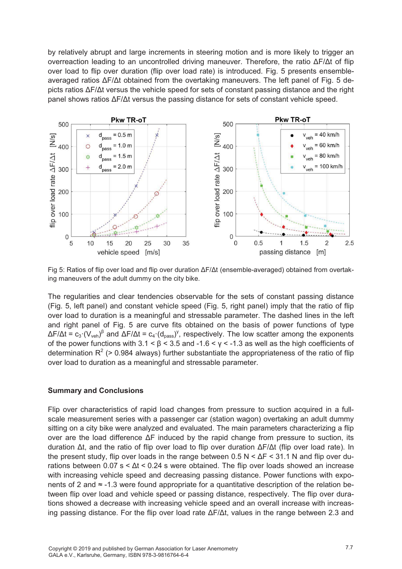by relatively abrupt and large increments in steering motion and is more likely to trigger an overreaction leading to an uncontrolled driving maneuver. Therefore, the ratio ΔF/Δt of flip over load to flip over duration (flip over load rate) is introduced. Fig. 5 presents ensembleaveraged ratios ΔF/Δt obtained from the overtaking maneuvers. The left panel of Fig. 5 depicts ratios ΔF/Δt versus the vehicle speed for sets of constant passing distance and the right panel shows ratios ΔF/Δt versus the passing distance for sets of constant vehicle speed.



Fig 5: Ratios of flip over load and flip over duration ΔF/Δt (ensemble-averaged) obtained from overtaking maneuvers of the adult dummy on the city bike.

The regularities and clear tendencies observable for the sets of constant passing distance (Fig. 5, left panel) and constant vehicle speed (Fig. 5, right panel) imply that the ratio of flip over load to duration is a meaningful and stressable parameter. The dashed lines in the left and right panel of Fig. 5 are curve fits obtained on the basis of power functions of type ΔF/Δt = c<sub>3</sub>·(V<sub>veh</sub>)<sup>β</sup> and ΔF/Δt = c<sub>4</sub>·(d<sub>pass</sub>)<sup>γ</sup>, respectively. The low scatter among the exponents of the power functions with  $3.1 < \beta < 3.5$  and  $-1.6 < y < -1.3$  as well as the high coefficients of determination  $R^2$  (> 0.984 always) further substantiate the appropriateness of the ratio of flip over load to duration as a meaningful and stressable parameter.

#### **Summary and Conclusions**

Flip over characteristics of rapid load changes from pressure to suction acquired in a fullscale measurement series with a passenger car (station wagon) overtaking an adult dummy sitting on a city bike were analyzed and evaluated. The main parameters characterizing a flip over are the load difference ΔF induced by the rapid change from pressure to suction, its duration Δt, and the ratio of flip over load to flip over duration ΔF/Δt (flip over load rate). In the present study, flip over loads in the range between  $0.5 \text{ N} \leq \Delta F \leq 31.1 \text{ N}$  and flip over durations between  $0.07$  s  $\leq \Delta t \leq 0.24$  s were obtained. The flip over loads showed an increase with increasing vehicle speed and decreasing passing distance. Power functions with exponents of 2 and ≈ -1.3 were found appropriate for a quantitative description of the relation between flip over load and vehicle speed or passing distance, respectively. The flip over durations showed a decrease with increasing vehicle speed and an overall increase with increasing passing distance. For the flip over load rate  $\Delta F/\Delta t$ , values in the range between 2.3 and